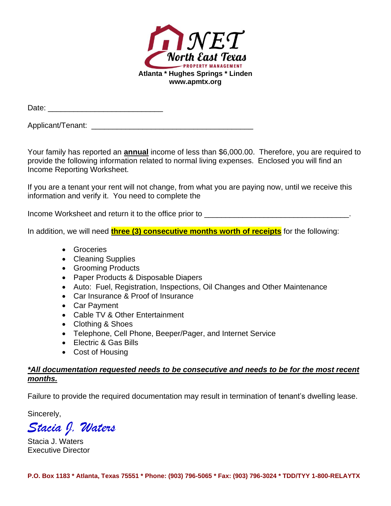

| Date: |
|-------|
|       |

Applicant/Tenant: **Applicant** and  $\overline{a}$  and  $\overline{b}$  and  $\overline{c}$  and  $\overline{c}$  and  $\overline{c}$  and  $\overline{a}$  and  $\overline{a}$  and  $\overline{a}$  and  $\overline{a}$  and  $\overline{a}$  and  $\overline{a}$  and  $\overline{a}$  and  $\overline{a}$  and  $\overline{a}$  and  $\overline{a$ 

Your family has reported an **annual** income of less than \$6,000.00. Therefore, you are required to provide the following information related to normal living expenses. Enclosed you will find an Income Reporting Worksheet.

If you are a tenant your rent will not change, from what you are paying now, until we receive this information and verify it. You need to complete the

Income Worksheet and return it to the office prior to **wave and the set of the set of the set of the set of the set of the set of the set of the set of the set of the set of the set of the set of the set of the set of the** 

In addition, we will need **three (3) consecutive months worth of receipts** for the following:

- Groceries
- Cleaning Supplies
- Grooming Products
- Paper Products & Disposable Diapers
- Auto: Fuel, Registration, Inspections, Oil Changes and Other Maintenance
- Car Insurance & Proof of Insurance
- Car Payment
- Cable TV & Other Entertainment
- Clothing & Shoes
- Telephone, Cell Phone, Beeper/Pager, and Internet Service
- Electric & Gas Bills
- Cost of Housing

## *\*All documentation requested needs to be consecutive and needs to be for the most recent months.*

Failure to provide the required documentation may result in termination of tenant's dwelling lease.

Sincerely,

*Stacia J. Waters*

Stacia J. Waters Executive Director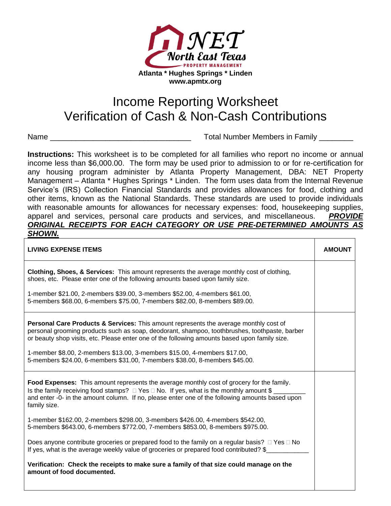

## Income Reporting Worksheet Verification of Cash & Non-Cash Contributions

Name \_\_\_\_\_\_\_\_\_\_\_\_\_\_\_\_\_\_\_\_\_\_\_\_\_\_\_\_\_\_\_\_\_ Total Number Members in Family \_\_\_\_\_\_\_\_

**Instructions:** This worksheet is to be completed for all families who report no income or annual income less than \$6,000.00. The form may be used prior to admission to or for re-certification for any housing program administer by Atlanta Property Management, DBA: NET Property Management – Atlanta \* Hughes Springs \* Linden. The form uses data from the Internal Revenue Service's (IRS) Collection Financial Standards and provides allowances for food, clothing and other items, known as the National Standards. These standards are used to provide individuals with reasonable amounts for allowances for necessary expenses: food, housekeeping supplies, apparel and services, personal care products and services, and miscellaneous. *PROVIDE ORIGINAL RECEIPTS FOR EACH CATEGORY OR USE PRE-DETERMINED AMOUNTS AS SHOWN.*

| <b>LIVING EXPENSE ITEMS</b>                                                                                                                                                                                                                                                                                                                                                                                                                                    | <b>AMOUNT</b> |
|----------------------------------------------------------------------------------------------------------------------------------------------------------------------------------------------------------------------------------------------------------------------------------------------------------------------------------------------------------------------------------------------------------------------------------------------------------------|---------------|
| <b>Clothing, Shoes, &amp; Services:</b> This amount represents the average monthly cost of clothing,<br>shoes, etc. Please enter one of the following amounts based upon family size.                                                                                                                                                                                                                                                                          |               |
| 1-member \$21.00, 2-members \$39.00, 3-members \$52.00, 4-members \$61.00,<br>5-members \$68.00, 6-members \$75.00, 7-members \$82.00, 8-members \$89.00.                                                                                                                                                                                                                                                                                                      |               |
| <b>Personal Care Products &amp; Services:</b> This amount represents the average monthly cost of<br>personal grooming products such as soap, deodorant, shampoo, toothbrushes, toothpaste, barber<br>or beauty shop visits, etc. Please enter one of the following amounts based upon family size.<br>1-member \$8.00, 2-members \$13.00, 3-members \$15.00, 4-members \$17.00,<br>5-members \$24.00, 6-members \$31.00, 7-members \$38.00, 8-members \$45.00. |               |
| Food Expenses: This amount represents the average monthly cost of grocery for the family.<br>Is the family receiving food stamps? $\Box$ Yes $\Box$ No. If yes, what is the monthly amount \$<br>and enter -0- in the amount column. If no, please enter one of the following amounts based upon<br>family size.                                                                                                                                               |               |
| 1-member \$162.00, 2-members \$298.00, 3-members \$426.00, 4-members \$542.00,<br>5-members \$643.00, 6-members \$772.00, 7-members \$853.00, 8-members \$975.00.                                                                                                                                                                                                                                                                                              |               |
| Does anyone contribute groceries or prepared food to the family on a regular basis? $\Box$ Yes $\Box$ No<br>If yes, what is the average weekly value of groceries or prepared food contributed? \$                                                                                                                                                                                                                                                             |               |
| Verification: Check the receipts to make sure a family of that size could manage on the<br>amount of food documented.                                                                                                                                                                                                                                                                                                                                          |               |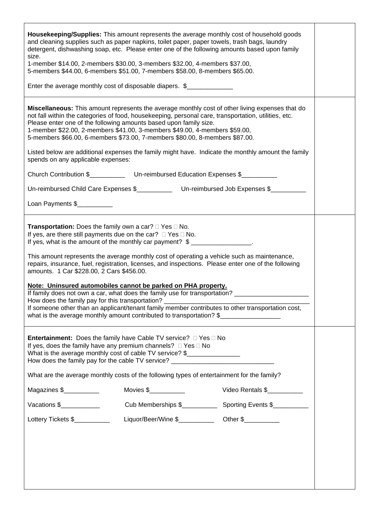| Housekeeping/Supplies: This amount represents the average monthly cost of household goods<br>and cleaning supplies such as paper napkins, toilet paper, paper towels, trash bags, laundry<br>detergent, dishwashing soap, etc. Please enter one of the following amounts based upon family<br>size.<br>1-member \$14.00, 2-members \$30.00, 3-members \$32.00, 4-members \$37.00,<br>5-members \$44.00, 6-members \$51.00, 7-members \$58.00, 8-members \$65.00.                                                                                                                                                                                                                                                                                                                                                                                                              |                                                                                            |                    |  |  |  |  |  |
|-------------------------------------------------------------------------------------------------------------------------------------------------------------------------------------------------------------------------------------------------------------------------------------------------------------------------------------------------------------------------------------------------------------------------------------------------------------------------------------------------------------------------------------------------------------------------------------------------------------------------------------------------------------------------------------------------------------------------------------------------------------------------------------------------------------------------------------------------------------------------------|--------------------------------------------------------------------------------------------|--------------------|--|--|--|--|--|
| Enter the average monthly cost of disposable diapers. \$                                                                                                                                                                                                                                                                                                                                                                                                                                                                                                                                                                                                                                                                                                                                                                                                                      |                                                                                            |                    |  |  |  |  |  |
| Miscellaneous: This amount represents the average monthly cost of other living expenses that do<br>not fall within the categories of food, housekeeping, personal care, transportation, utilities, etc.<br>Please enter one of the following amounts based upon family size.<br>1-member \$22.00, 2-members \$41.00, 3-members \$49.00, 4-members \$59.00,<br>5-members \$66.00, 6-members \$73.00, 7-members \$80.00, 8-members \$87.00.                                                                                                                                                                                                                                                                                                                                                                                                                                     |                                                                                            |                    |  |  |  |  |  |
| Listed below are additional expenses the family might have. Indicate the monthly amount the family<br>spends on any applicable expenses:                                                                                                                                                                                                                                                                                                                                                                                                                                                                                                                                                                                                                                                                                                                                      |                                                                                            |                    |  |  |  |  |  |
|                                                                                                                                                                                                                                                                                                                                                                                                                                                                                                                                                                                                                                                                                                                                                                                                                                                                               | Church Contribution \$__________________Un-reimbursed Education Expenses \$____________    |                    |  |  |  |  |  |
| Un-reimbursed Child Care Expenses \$_____________ Un-reimbursed Job Expenses \$_______                                                                                                                                                                                                                                                                                                                                                                                                                                                                                                                                                                                                                                                                                                                                                                                        |                                                                                            |                    |  |  |  |  |  |
| Loan Payments \$                                                                                                                                                                                                                                                                                                                                                                                                                                                                                                                                                                                                                                                                                                                                                                                                                                                              |                                                                                            |                    |  |  |  |  |  |
| <b>Transportation:</b> Does the family own a car? $\Box$ Yes $\Box$ No.<br>If yes, are there still payments due on the car? $\Box$ Yes $\Box$ No.<br>If yes, what is the amount of the monthly car payment? \$<br>This amount represents the average monthly cost of operating a vehicle such as maintenance,<br>repairs, insurance, fuel, registration, licenses, and inspections. Please enter one of the following<br>amounts. 1 Car \$228.00, 2 Cars \$456.00.<br>Note: Uninsured automobiles cannot be parked on PHA property.<br>If family does not own a car, what does the family use for transportation? ________________________<br>How does the family pay for this transportation? _<br>If someone other than an applicant/tenant family member contributes to other transportation cost,<br>what is the average monthly amount contributed to transportation? \$ |                                                                                            |                    |  |  |  |  |  |
| <b>Entertainment:</b> Does the family have Cable TV service? □ Yes □ No<br>If yes, does the family have any premium channels? $\Box$ Yes $\Box$ No<br>What is the average monthly cost of cable TV service? \$<br>How does the family pay for the cable TV service? ______________________________                                                                                                                                                                                                                                                                                                                                                                                                                                                                                                                                                                            |                                                                                            |                    |  |  |  |  |  |
|                                                                                                                                                                                                                                                                                                                                                                                                                                                                                                                                                                                                                                                                                                                                                                                                                                                                               | What are the average monthly costs of the following types of entertainment for the family? |                    |  |  |  |  |  |
| Magazines \$                                                                                                                                                                                                                                                                                                                                                                                                                                                                                                                                                                                                                                                                                                                                                                                                                                                                  | Movies $\frac{1}{2}$ Movies $\frac{1}{2}$                                                  | Video Rentals \$   |  |  |  |  |  |
| Vacations \$                                                                                                                                                                                                                                                                                                                                                                                                                                                                                                                                                                                                                                                                                                                                                                                                                                                                  | Cub Memberships \$                                                                         | Sporting Events \$ |  |  |  |  |  |
| Lottery Tickets \$                                                                                                                                                                                                                                                                                                                                                                                                                                                                                                                                                                                                                                                                                                                                                                                                                                                            |                                                                                            |                    |  |  |  |  |  |
|                                                                                                                                                                                                                                                                                                                                                                                                                                                                                                                                                                                                                                                                                                                                                                                                                                                                               |                                                                                            |                    |  |  |  |  |  |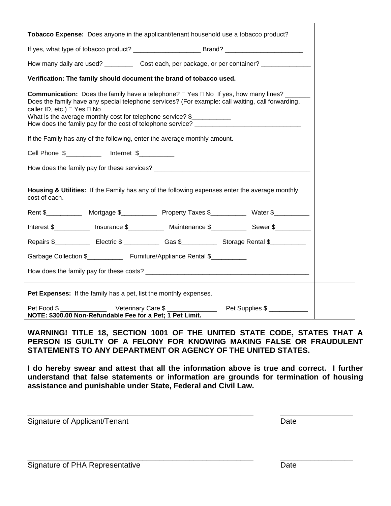| Tobacco Expense: Does anyone in the applicant/tenant household use a tobacco product?                                                                                                                                                                                                                                                                                                                                                                                                                                      |  |  |  |  |  |  |
|----------------------------------------------------------------------------------------------------------------------------------------------------------------------------------------------------------------------------------------------------------------------------------------------------------------------------------------------------------------------------------------------------------------------------------------------------------------------------------------------------------------------------|--|--|--|--|--|--|
|                                                                                                                                                                                                                                                                                                                                                                                                                                                                                                                            |  |  |  |  |  |  |
| How many daily are used? ____________ Cost each, per package, or per container? _______________                                                                                                                                                                                                                                                                                                                                                                                                                            |  |  |  |  |  |  |
| Verification: The family should document the brand of tobacco used.                                                                                                                                                                                                                                                                                                                                                                                                                                                        |  |  |  |  |  |  |
| <b>Communication:</b> Does the family have a telephone? $\Box$ Yes $\Box$ No If yes, how many lines?<br>Does the family have any special telephone services? (For example: call waiting, call forwarding,<br>caller ID, etc.) □ Yes □ No<br>What is the average monthly cost for telephone service? \$<br>How does the family pay for the cost of telephone service? _____________________<br>If the Family has any of the following, enter the average monthly amount.<br>Cell Phone \$____________ Internet \$__________ |  |  |  |  |  |  |
| Housing & Utilities: If the Family has any of the following expenses enter the average monthly<br>cost of each.                                                                                                                                                                                                                                                                                                                                                                                                            |  |  |  |  |  |  |
|                                                                                                                                                                                                                                                                                                                                                                                                                                                                                                                            |  |  |  |  |  |  |
| Interest \$_____________ Insurance \$_____________ Maintenance \$_____________ Sewer \$___________                                                                                                                                                                                                                                                                                                                                                                                                                         |  |  |  |  |  |  |
| Repairs \$ ______________ Electric \$ ______________ Gas \$______________ Storage Rental \$                                                                                                                                                                                                                                                                                                                                                                                                                                |  |  |  |  |  |  |
| Garbage Collection \$_______________ Furniture/Appliance Rental \$___________                                                                                                                                                                                                                                                                                                                                                                                                                                              |  |  |  |  |  |  |
|                                                                                                                                                                                                                                                                                                                                                                                                                                                                                                                            |  |  |  |  |  |  |
| Pet Expenses: If the family has a pet, list the monthly expenses.                                                                                                                                                                                                                                                                                                                                                                                                                                                          |  |  |  |  |  |  |
| NOTE: \$300.00 Non-Refundable Fee for a Pet; 1 Pet Limit.                                                                                                                                                                                                                                                                                                                                                                                                                                                                  |  |  |  |  |  |  |

**WARNING! TITLE 18, SECTION 1001 OF THE UNITED STATE CODE, STATES THAT A PERSON IS GUILTY OF A FELONY FOR KNOWING MAKING FALSE OR FRAUDULENT STATEMENTS TO ANY DEPARTMENT OR AGENCY OF THE UNITED STATES.**

**I do hereby swear and attest that all the information above is true and correct. I further understand that false statements or information are grounds for termination of housing assistance and punishable under State, Federal and Civil Law.**

\_\_\_\_\_\_\_\_\_\_\_\_\_\_\_\_\_\_\_\_\_\_\_\_\_\_\_\_\_\_\_\_\_\_\_\_\_\_\_\_\_\_\_\_\_\_\_\_\_\_\_\_\_ \_\_\_\_\_\_\_\_\_\_\_\_\_\_\_\_\_

\_\_\_\_\_\_\_\_\_\_\_\_\_\_\_\_\_\_\_\_\_\_\_\_\_\_\_\_\_\_\_\_\_\_\_\_\_\_\_\_\_\_\_\_\_\_\_\_\_\_\_\_\_ \_\_\_\_\_\_\_\_\_\_\_\_\_\_\_\_\_

Signature of Applicant/Tenant Date Controller and Date Date